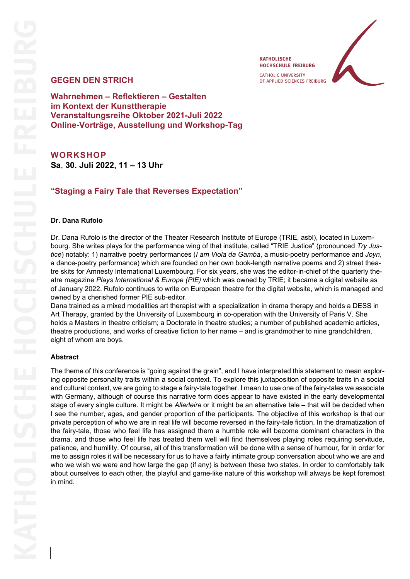OF APPLIED SCIENCES FREIBURG

**KATHOLISCHE HOCHSCHULE FREIBURG CATHOLIC UNIVERSITY** 

## **GEGEN DEN STRICH**

**Wahrnehmen – Reflektieren – Gestalten im Kontext der Kunsttherapie Veranstaltungsreihe Oktober 2021-Juli 2022 Online-Vorträge, Ausstellung und Workshop-Tag**

# **WORKSHOP**

**Sa**, **30. Juli 2022, 11 – 13 Uhr**

## **"Staging a Fairy Tale that Reverses Expectation"**

#### **Dr. Dana Rufolo**

Dr. Dana Rufolo is the director of the Theater Research Institute of Europe (TRIE, asbl), located in Luxembourg. She writes plays for the performance wing of that institute, called "TRIE Justice" (pronounced *Try Justice*) notably: 1) narrative poetry performances (*I am Viola da Gamba*, a music-poetry performance and *Joyn*, a dance-poetry performance) which are founded on her own book-length narrative poems and 2) street theatre skits for Amnesty International Luxembourg. For six years, she was the editor-in-chief of the quarterly theatre magazine *Plays International & Europe (PIE)* which was owned by TRIE; it became a digital website as of January 2022. Rufolo continues to write on European theatre for the digital website, which is managed and owned by a cherished former PIE sub-editor.

Dana trained as a mixed modalities art therapist with a specialization in drama therapy and holds a DESS in Art Therapy, granted by the University of Luxembourg in co-operation with the University of Paris V. She holds a Masters in theatre criticism; a Doctorate in theatre studies; a number of published academic articles, theatre productions, and works of creative fiction to her name – and is grandmother to nine grandchildren, eight of whom are boys.

#### **Abstract**

The theme of this conference is "going against the grain", and I have interpreted this statement to mean exploring opposite personality traits within a social context. To explore this juxtaposition of opposite traits in a social and cultural context, we are going to stage a fairy-tale together. I mean to use one of the fairy-tales we associate with Germany, although of course this narrative form does appear to have existed in the early developmental stage of every single culture. It might be *Allerleira* or it might be an alternative tale – that will be decided when I see the number, ages, and gender proportion of the participants. The objective of this workshop is that our private perception of who we are in real life will become reversed in the fairy-tale fiction. In the dramatization of the fairy-tale, those who feel life has assigned them a humble role will become dominant characters in the drama, and those who feel life has treated them well will find themselves playing roles requiring servitude, patience, and humility. Of course, all of this transformation will be done with a sense of humour, for in order for me to assign roles it will be necessary for us to have a fairly intimate group conversation about who we are and who we wish we were and how large the gap (if any) is between these two states. In order to comfortably talk about ourselves to each other, the playful and game-like nature of this workshop will always be kept foremost in mind.